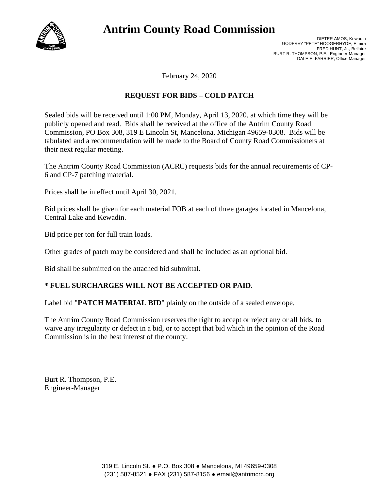

# **Antrim County Road Commission**

DIETER AMOS, Kewadin GODFREY "PETE" HOOGERHYDE, Elmira FRED HUNT, Jr., Bellaire BURT R. THOMPSON, P.E., Engineer-Manager DALE E. FARRIER, Office Manager

February 24, 2020

### **REQUEST FOR BIDS – COLD PATCH**

Sealed bids will be received until 1:00 PM, Monday, April 13, 2020, at which time they will be publicly opened and read. Bids shall be received at the office of the Antrim County Road Commission, PO Box 308, 319 E Lincoln St, Mancelona, Michigan 49659-0308. Bids will be tabulated and a recommendation will be made to the Board of County Road Commissioners at their next regular meeting.

The Antrim County Road Commission (ACRC) requests bids for the annual requirements of CP-6 and CP-7 patching material.

Prices shall be in effect until April 30, 2021.

Bid prices shall be given for each material FOB at each of three garages located in Mancelona, Central Lake and Kewadin.

Bid price per ton for full train loads.

Other grades of patch may be considered and shall be included as an optional bid.

Bid shall be submitted on the attached bid submittal.

#### **\* FUEL SURCHARGES WILL NOT BE ACCEPTED OR PAID.**

Label bid "**PATCH MATERIAL BID**" plainly on the outside of a sealed envelope.

The Antrim County Road Commission reserves the right to accept or reject any or all bids, to waive any irregularity or defect in a bid, or to accept that bid which in the opinion of the Road Commission is in the best interest of the county.

Burt R. Thompson, P.E. Engineer-Manager